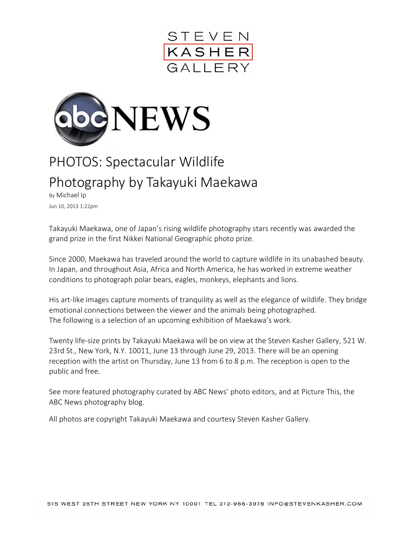



## PHOTOS: Spectacular Wildlife Photography by Takayuki Maekawa

By Michael Ip Jun 10, 2013 1:22pm

Takayuki Maekawa, one of Japan's rising wildlife photography stars recently was awarded the grand prize in the first Nikkei National Geographic photo prize.

Since 2000, Maekawa has traveled around the world to capture wildlife in its unabashed beauty. In Japan, and throughout Asia, Africa and North America, he has worked in extreme weather conditions to photograph polar bears, eagles, monkeys, elephants and lions.

His art-like images capture moments of tranquility as well as the elegance of wildlife. They bridge emotional connections between the viewer and the animals being photographed. The following is a selection of an upcoming exhibition of Maekawa's work.

Twenty life-size prints by [Takayuki Maekawa](http://www.earthfinder.jp/) will be on view at the [Steven Kasher Gallery,](http://www.stevenkasher.com/) 521 W. 23rd St., New York, N.Y. 10011, June 13 through June 29, 2013. There will be an opening reception with the artist on Thursday, June 13 from 6 to 8 p.m. The reception is open to the public and free.

See more [featured photography](http://abcnews.go.com/US/PhotoGallery/) curated by ABC News' photo editors, and at [Picture This,](http://abcnews.go.com/blogs/headlines/picture-this-abc-news/) the ABC News photography blog.

All photos are copyright Takayuki Maekawa and courtesy Steven Kasher Gallery.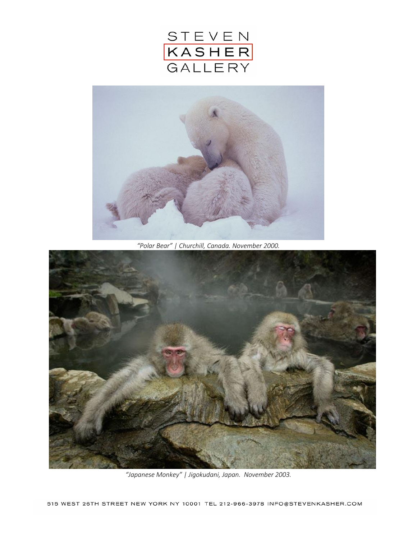



*"Polar Bear" | Churchill, Canada. November 2000.*



*"Japanese Monkey" | Jigokudani, Japan. November 2003.*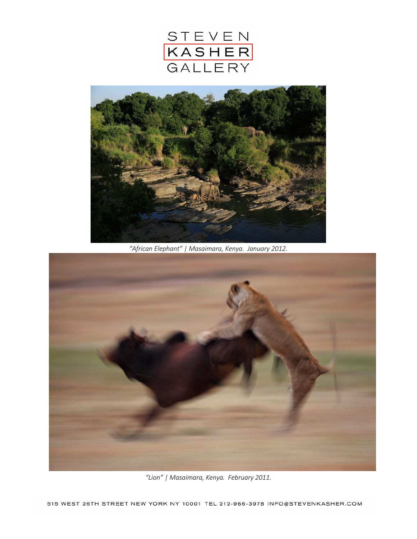



*"African Elephant" | Masaimara, Kenya. January 2012.*



*"Lion" | Masaimara, Kenya. February 2011.*

515 WEST 26TH STREET NEW YORK NY 10001 TEL 212-966-3978 INFO@STEVENKASHER.COM